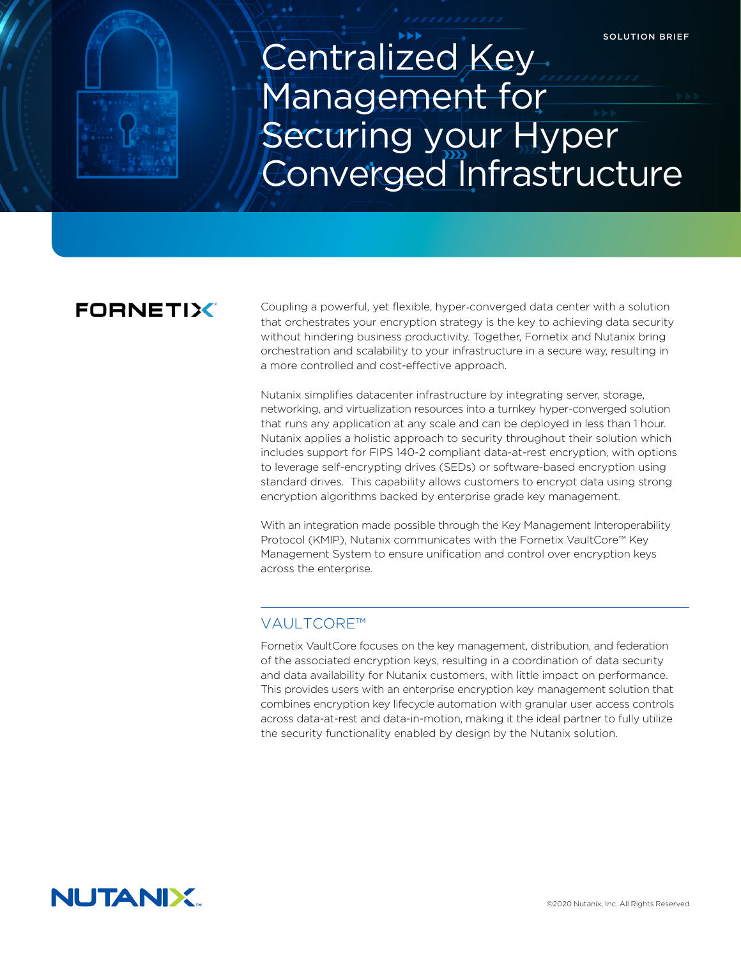# Centralized Key Management for Securing your Hyper Converged Infrastructure

# **FORNETIX**

Coupling a powerful, yet flexible, hyper-converged data center with a solution that orchestrates your encryption strategy is the key to achieving data security without hindering business productivity. Together, Fornetix and Nutanix bring orchestration and scalability to your infrastructure in a secure way, resulting in a more controlled and cost-effective approach.

Nutanix simplifies datacenter infrastructure by integrating server, storage, networking, and virtualization resources into a turnkey hyper-converged solution that runs any application at any scale and can be deployed in less than 1 hour. Nutanix applies a holistic approach to security throughout their solution which includes support for FIPS 140-2 compliant data-at-rest encryption, with options to leverage self-encrypting drives (SEDs) or software-based encryption using standard drives. This capability allows customers to encrypt data using strong encryption algorithms backed by enterprise grade key management.

With an integration made possible through the Key Management Interoperability Protocol (KMIP), Nutanix communicates with the Fornetix VaultCore™ Key Management System to ensure unification and control over encryption keys across the enterprise.

# VAULTCORE™

Fornetix VaultCore focuses on the key management, distribution, and federation of the associated encryption keys, resulting in a coordination of data security and data availability for Nutanix customers, with little impact on performance. This provides users with an enterprise encryption key management solution that combines encryption key lifecycle automation with granular user access controls across data-at-rest and data-in-motion, making it the ideal partner to fully utilize the security functionality enabled by design by the Nutanix solution.

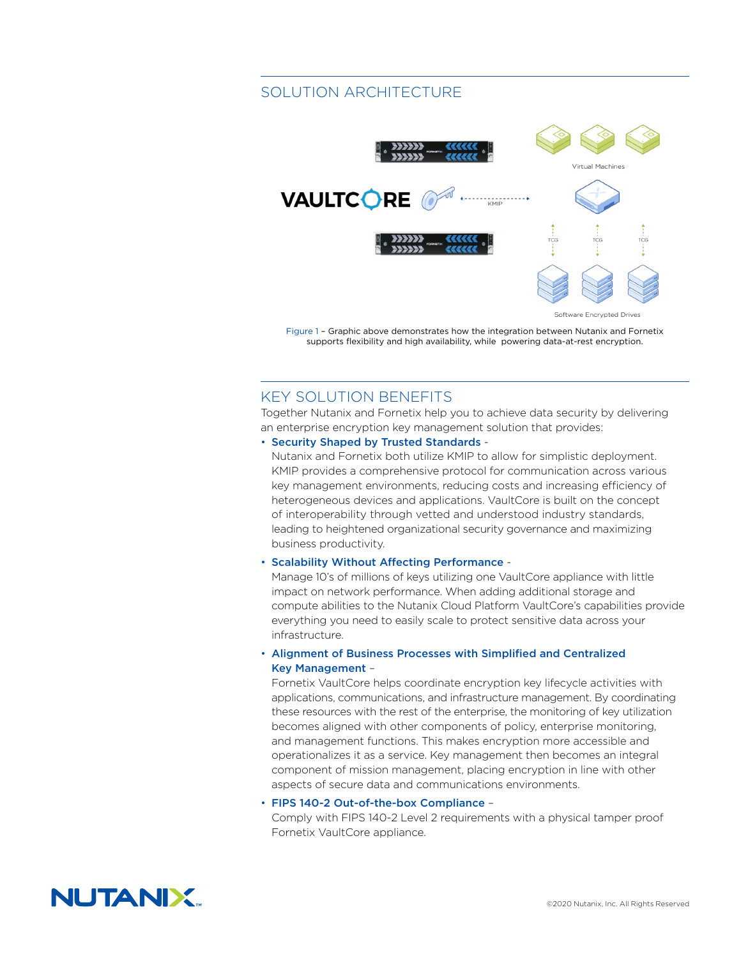# SOLUTION ARCHITECTURE



Figure 1 – Graphic above demonstrates how the integration between Nutanix and Fornetix supports flexibility and high availability, while powering data-at-rest encryption.

# KEY SOLUTION BENEFITS

Together Nutanix and Fornetix help you to achieve data security by delivering an enterprise encryption key management solution that provides:

#### • Security Shaped by Trusted Standards -

Nutanix and Fornetix both utilize KMIP to allow for simplistic deployment. KMIP provides a comprehensive protocol for communication across various key management environments, reducing costs and increasing efficiency of heterogeneous devices and applications. VaultCore is built on the concept of interoperability through vetted and understood industry standards, leading to heightened organizational security governance and maximizing business productivity.

#### • Scalability Without Affecting Performance -

Manage 10's of millions of keys utilizing one VaultCore appliance with little impact on network performance. When adding additional storage and compute abilities to the Nutanix Cloud Platform VaultCore's capabilities provide everything you need to easily scale to protect sensitive data across your infrastructure.

### • Alignment of Business Processes with Simplified and Centralized Key Management –

Fornetix VaultCore helps coordinate encryption key lifecycle activities with applications, communications, and infrastructure management. By coordinating these resources with the rest of the enterprise, the monitoring of key utilization becomes aligned with other components of policy, enterprise monitoring, and management functions. This makes encryption more accessible and operationalizes it as a service. Key management then becomes an integral component of mission management, placing encryption in line with other aspects of secure data and communications environments.

#### • FIPS 140-2 Out-of-the-box Compliance –

Comply with FIPS 140-2 Level 2 requirements with a physical tamper proof Fornetix VaultCore appliance.